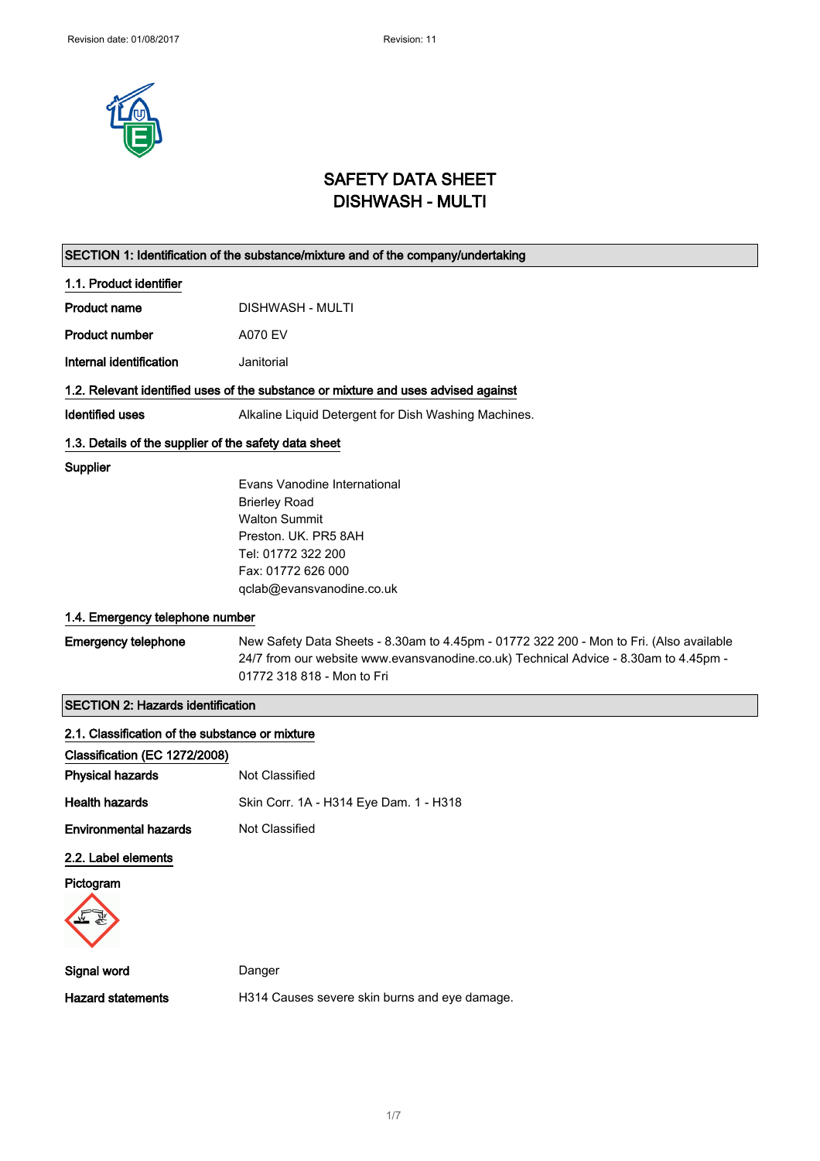

# SAFETY DATA SHEET DISHWASH - MULTI

| SECTION 1: Identification of the substance/mixture and of the company/undertaking |                                                                                         |
|-----------------------------------------------------------------------------------|-----------------------------------------------------------------------------------------|
| 1.1. Product identifier                                                           |                                                                                         |
| <b>Product name</b>                                                               | DISHWASH - MULTI                                                                        |
| <b>Product number</b>                                                             | A070 EV                                                                                 |
| Internal identification                                                           | Janitorial                                                                              |
|                                                                                   | 1.2. Relevant identified uses of the substance or mixture and uses advised against      |
| <b>Identified uses</b>                                                            | Alkaline Liquid Detergent for Dish Washing Machines.                                    |
| 1.3. Details of the supplier of the safety data sheet                             |                                                                                         |
| Supplier                                                                          |                                                                                         |
|                                                                                   | Evans Vanodine International                                                            |
|                                                                                   | <b>Brierley Road</b>                                                                    |
|                                                                                   | <b>Walton Summit</b>                                                                    |
|                                                                                   | Preston, UK, PR5 8AH                                                                    |
|                                                                                   | Tel: 01772 322 200                                                                      |
|                                                                                   | Fax: 01772 626 000                                                                      |
|                                                                                   | qclab@evansvanodine.co.uk                                                               |
| 1.4. Emergency telephone number                                                   |                                                                                         |
| <b>Emergency telephone</b>                                                        | New Safety Data Sheets - 8.30am to 4.45pm - 01772 322 200 - Mon to Fri. (Also available |
|                                                                                   | 24/7 from our website www.evansvanodine.co.uk) Technical Advice - 8.30am to 4.45pm -    |
|                                                                                   | 01772 318 818 - Mon to Fri                                                              |
| <b>SECTION 2: Hazards identification</b>                                          |                                                                                         |
| 2.1. Classification of the substance or mixture                                   |                                                                                         |
| Classification (EC 1272/2008)                                                     |                                                                                         |
| <b>Physical hazards</b>                                                           | Not Classified                                                                          |
| <b>Health hazards</b>                                                             | Skin Corr. 1A - H314 Eye Dam. 1 - H318                                                  |
| <b>Environmental hazards</b>                                                      | Not Classified                                                                          |
| 2.2. Label elements                                                               |                                                                                         |
| Pictogram                                                                         |                                                                                         |
|                                                                                   |                                                                                         |
| Signal word                                                                       | Danger                                                                                  |
| <b>Hazard statements</b>                                                          | H314 Causes severe skin burns and eye damage.                                           |
|                                                                                   |                                                                                         |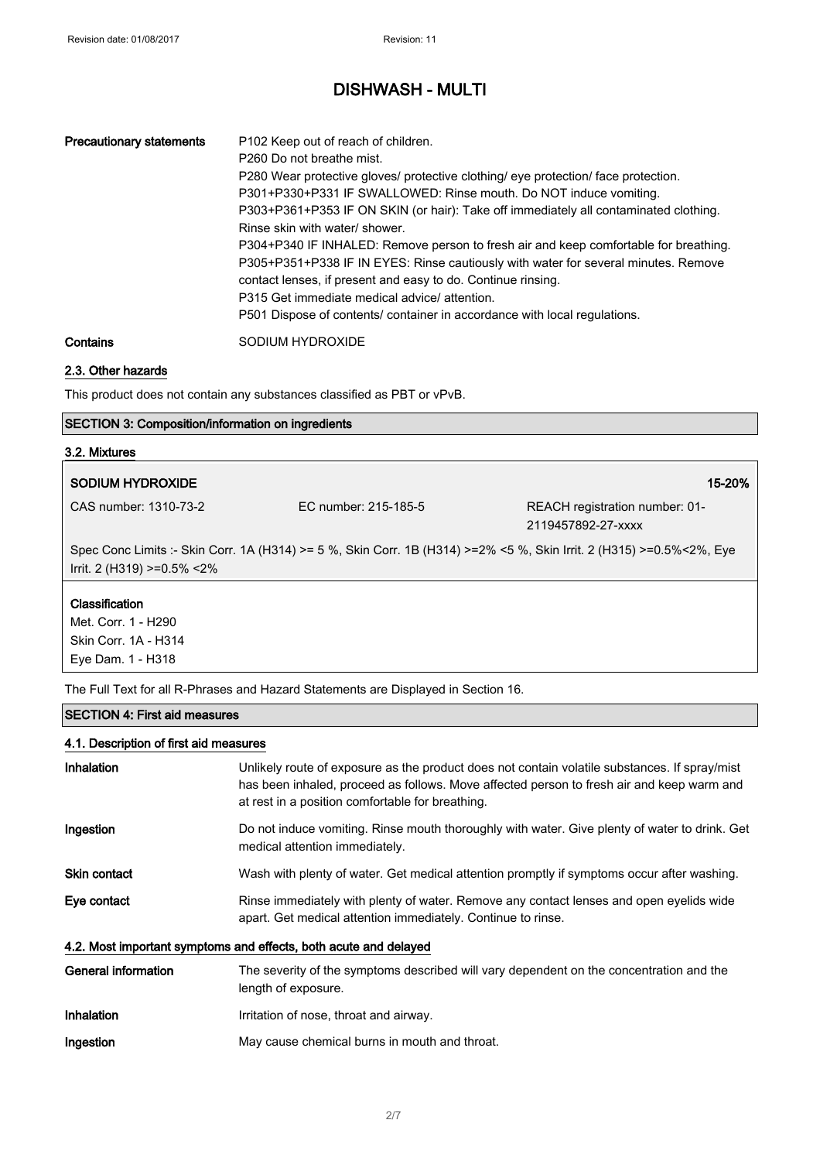| <b>Precautionary statements</b> | P <sub>102</sub> Keep out of reach of children.<br>P <sub>260</sub> Do not breathe mist.<br>P280 Wear protective gloves/ protective clothing/ eye protection/ face protection.<br>P301+P330+P331 IF SWALLOWED: Rinse mouth. Do NOT induce vomiting.<br>P303+P361+P353 IF ON SKIN (or hair): Take off immediately all contaminated clothing.<br>Rinse skin with water/ shower.<br>P304+P340 IF INHALED: Remove person to fresh air and keep comfortable for breathing.<br>P305+P351+P338 IF IN EYES: Rinse cautiously with water for several minutes. Remove<br>contact lenses, if present and easy to do. Continue rinsing.<br>P315 Get immediate medical advice/ attention.<br>P501 Dispose of contents/ container in accordance with local regulations. |
|---------------------------------|-----------------------------------------------------------------------------------------------------------------------------------------------------------------------------------------------------------------------------------------------------------------------------------------------------------------------------------------------------------------------------------------------------------------------------------------------------------------------------------------------------------------------------------------------------------------------------------------------------------------------------------------------------------------------------------------------------------------------------------------------------------|
| Contains                        | SODIUM HYDROXIDE                                                                                                                                                                                                                                                                                                                                                                                                                                                                                                                                                                                                                                                                                                                                          |

## 2.3. Other hazards

This product does not contain any substances classified as PBT or vPvB.

### SECTION 3: Composition/information on ingredients

# 3.2. Mixtures SODIUM HYDROXIDE 15-20% CAS number: 1310-73-2 EC number: 215-185-5 REACH registration number: 01- 2119457892-27-xxxx

Spec Conc Limits :- Skin Corr. 1A (H314) >= 5 %, Skin Corr. 1B (H314) >=2% <5 %, Skin Irrit. 2 (H315) >=0.5%<2%, Eye Irrit. 2 (H319) >=0.5% <2%

### **Classification**

Met. Corr. 1 - H290 Skin Corr. 1A - H314 Eye Dam. 1 - H318

The Full Text for all R-Phrases and Hazard Statements are Displayed in Section 16.

#### SECTION 4: First aid measures

#### 4.1. Description of first aid measures

| <b>Inhalation</b>   | Unlikely route of exposure as the product does not contain volatile substances. If spray/mist<br>has been inhaled, proceed as follows. Move affected person to fresh air and keep warm and<br>at rest in a position comfortable for breathing. |
|---------------------|------------------------------------------------------------------------------------------------------------------------------------------------------------------------------------------------------------------------------------------------|
| Ingestion           | Do not induce vomiting. Rinse mouth thoroughly with water. Give plenty of water to drink. Get<br>medical attention immediately.                                                                                                                |
| <b>Skin contact</b> | Wash with plenty of water. Get medical attention promptly if symptoms occur after washing.                                                                                                                                                     |
| Eye contact         | Rinse immediately with plenty of water. Remove any contact lenses and open eyelids wide<br>apart. Get medical attention immediately. Continue to rinse.                                                                                        |
|                     | 4.2. Most important symptoms and effects, both acute and delayed                                                                                                                                                                               |
| General information | The severity of the symptoms described will vary dependent on the concentration and the<br>length of exposure.                                                                                                                                 |
| <b>Inhalation</b>   | Irritation of nose, throat and airway.                                                                                                                                                                                                         |
| Ingestion           | May cause chemical burns in mouth and throat.                                                                                                                                                                                                  |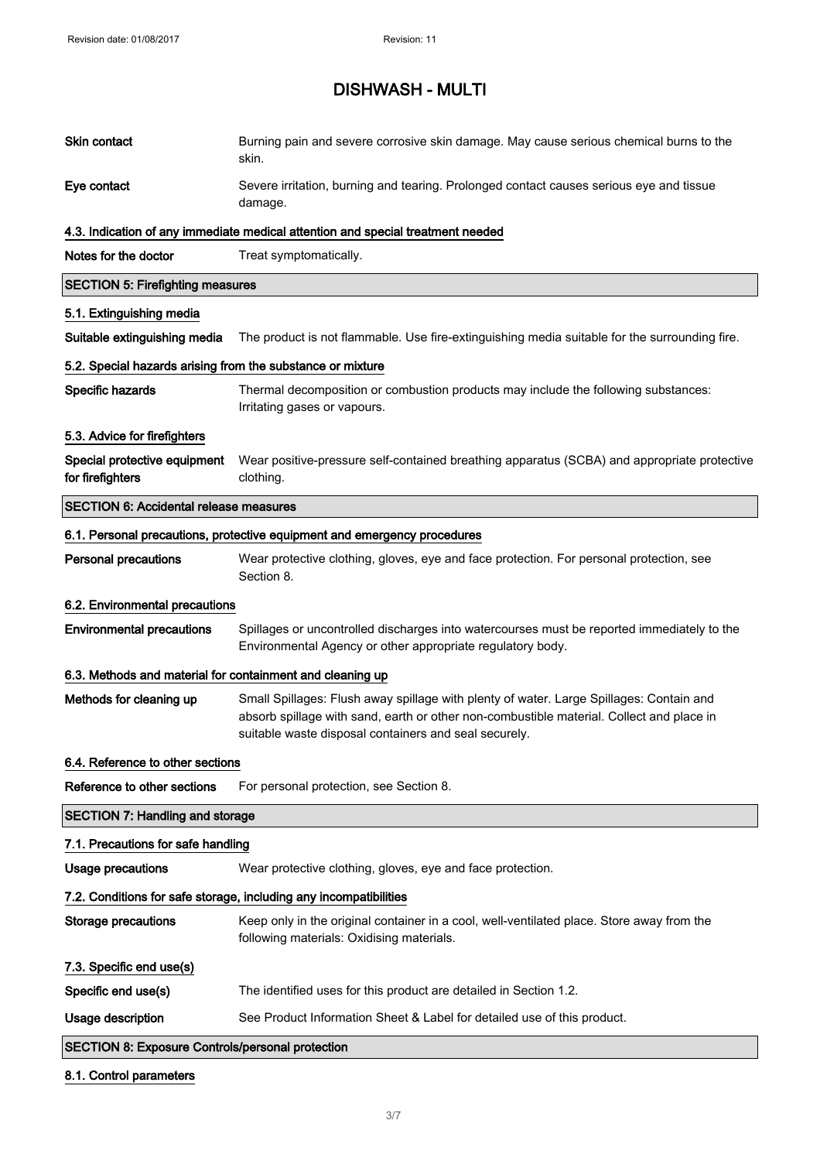| Skin contact                                               | Burning pain and severe corrosive skin damage. May cause serious chemical burns to the<br>skin.                                                                                                                                              |
|------------------------------------------------------------|----------------------------------------------------------------------------------------------------------------------------------------------------------------------------------------------------------------------------------------------|
| Eye contact                                                | Severe irritation, burning and tearing. Prolonged contact causes serious eye and tissue<br>damage.                                                                                                                                           |
|                                                            | 4.3. Indication of any immediate medical attention and special treatment needed                                                                                                                                                              |
| Notes for the doctor                                       | Treat symptomatically.                                                                                                                                                                                                                       |
| <b>SECTION 5: Firefighting measures</b>                    |                                                                                                                                                                                                                                              |
| 5.1. Extinguishing media                                   |                                                                                                                                                                                                                                              |
| Suitable extinguishing media                               | The product is not flammable. Use fire-extinguishing media suitable for the surrounding fire.                                                                                                                                                |
| 5.2. Special hazards arising from the substance or mixture |                                                                                                                                                                                                                                              |
| Specific hazards                                           | Thermal decomposition or combustion products may include the following substances:<br>Irritating gases or vapours.                                                                                                                           |
| 5.3. Advice for firefighters                               |                                                                                                                                                                                                                                              |
| Special protective equipment<br>for firefighters           | Wear positive-pressure self-contained breathing apparatus (SCBA) and appropriate protective<br>clothing.                                                                                                                                     |
| <b>SECTION 6: Accidental release measures</b>              |                                                                                                                                                                                                                                              |
|                                                            | 6.1. Personal precautions, protective equipment and emergency procedures                                                                                                                                                                     |
| <b>Personal precautions</b>                                | Wear protective clothing, gloves, eye and face protection. For personal protection, see<br>Section 8.                                                                                                                                        |
| 6.2. Environmental precautions                             |                                                                                                                                                                                                                                              |
| <b>Environmental precautions</b>                           | Spillages or uncontrolled discharges into watercourses must be reported immediately to the<br>Environmental Agency or other appropriate regulatory body.                                                                                     |
| 6.3. Methods and material for containment and cleaning up  |                                                                                                                                                                                                                                              |
| Methods for cleaning up                                    | Small Spillages: Flush away spillage with plenty of water. Large Spillages: Contain and<br>absorb spillage with sand, earth or other non-combustible material. Collect and place in<br>suitable waste disposal containers and seal securely. |
| 6.4. Reference to other sections                           |                                                                                                                                                                                                                                              |
| Reference to other sections                                | For personal protection, see Section 8.                                                                                                                                                                                                      |
| <b>SECTION 7: Handling and storage</b>                     |                                                                                                                                                                                                                                              |
| 7.1. Precautions for safe handling                         |                                                                                                                                                                                                                                              |
| <b>Usage precautions</b>                                   | Wear protective clothing, gloves, eye and face protection.                                                                                                                                                                                   |
|                                                            | 7.2. Conditions for safe storage, including any incompatibilities                                                                                                                                                                            |
| <b>Storage precautions</b>                                 | Keep only in the original container in a cool, well-ventilated place. Store away from the<br>following materials: Oxidising materials.                                                                                                       |
| 7.3. Specific end use(s)                                   |                                                                                                                                                                                                                                              |
| Specific end use(s)                                        | The identified uses for this product are detailed in Section 1.2.                                                                                                                                                                            |
| Usage description                                          | See Product Information Sheet & Label for detailed use of this product.                                                                                                                                                                      |
| <b>SECTION 8: Exposure Controls/personal protection</b>    |                                                                                                                                                                                                                                              |

## 8.1. Control parameters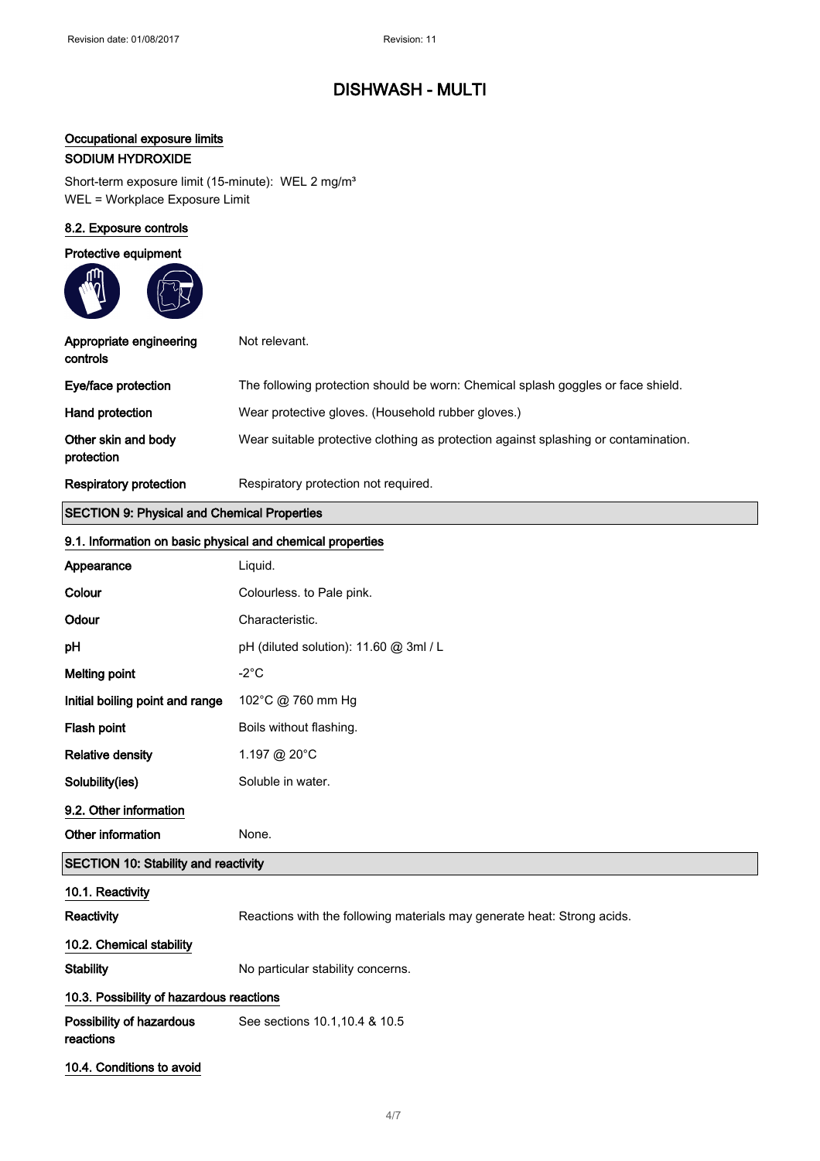## Occupational exposure limits

## SODIUM HYDROXIDE

Short-term exposure limit (15-minute): WEL 2 mg/m<sup>3</sup> WEL = Workplace Exposure Limit

### 8.2. Exposure controls

### Protective equipment

| Appropriate engineering<br>controls | Not relevant.                                                                       |
|-------------------------------------|-------------------------------------------------------------------------------------|
| Eye/face protection                 | The following protection should be worn: Chemical splash goggles or face shield.    |
| Hand protection                     | Wear protective gloves. (Household rubber gloves.)                                  |
| Other skin and body<br>protection   | Wear suitable protective clothing as protection against splashing or contamination. |
| <b>Respiratory protection</b>       | Respiratory protection not required.                                                |

## SECTION 9: Physical and Chemical Properties

|                                             | 9.1. Information on basic physical and chemical properties              |  |
|---------------------------------------------|-------------------------------------------------------------------------|--|
| Appearance                                  | Liquid.                                                                 |  |
| Colour                                      | Colourless. to Pale pink.                                               |  |
| Odour                                       | Characteristic.                                                         |  |
| pH                                          | pH (diluted solution): 11.60 @ 3ml / L                                  |  |
| <b>Melting point</b>                        | $-2^{\circ}$ C                                                          |  |
| Initial boiling point and range             | 102°C @ 760 mm Hg                                                       |  |
| Flash point                                 | Boils without flashing.                                                 |  |
| <b>Relative density</b>                     | 1.197 @ 20°C                                                            |  |
| Solubility(ies)                             | Soluble in water.                                                       |  |
| 9.2. Other information                      |                                                                         |  |
| Other information                           | None.                                                                   |  |
| <b>SECTION 10: Stability and reactivity</b> |                                                                         |  |
| 10.1. Reactivity                            |                                                                         |  |
| Reactivity                                  | Reactions with the following materials may generate heat: Strong acids. |  |
| 10.2. Chemical stability                    |                                                                         |  |
| <b>Stability</b>                            | No particular stability concerns.                                       |  |
| 10.3. Possibility of hazardous reactions    |                                                                         |  |
| Possibility of hazardous<br>reactions       | See sections 10.1, 10.4 & 10.5                                          |  |
| 10.4. Conditions to avoid                   |                                                                         |  |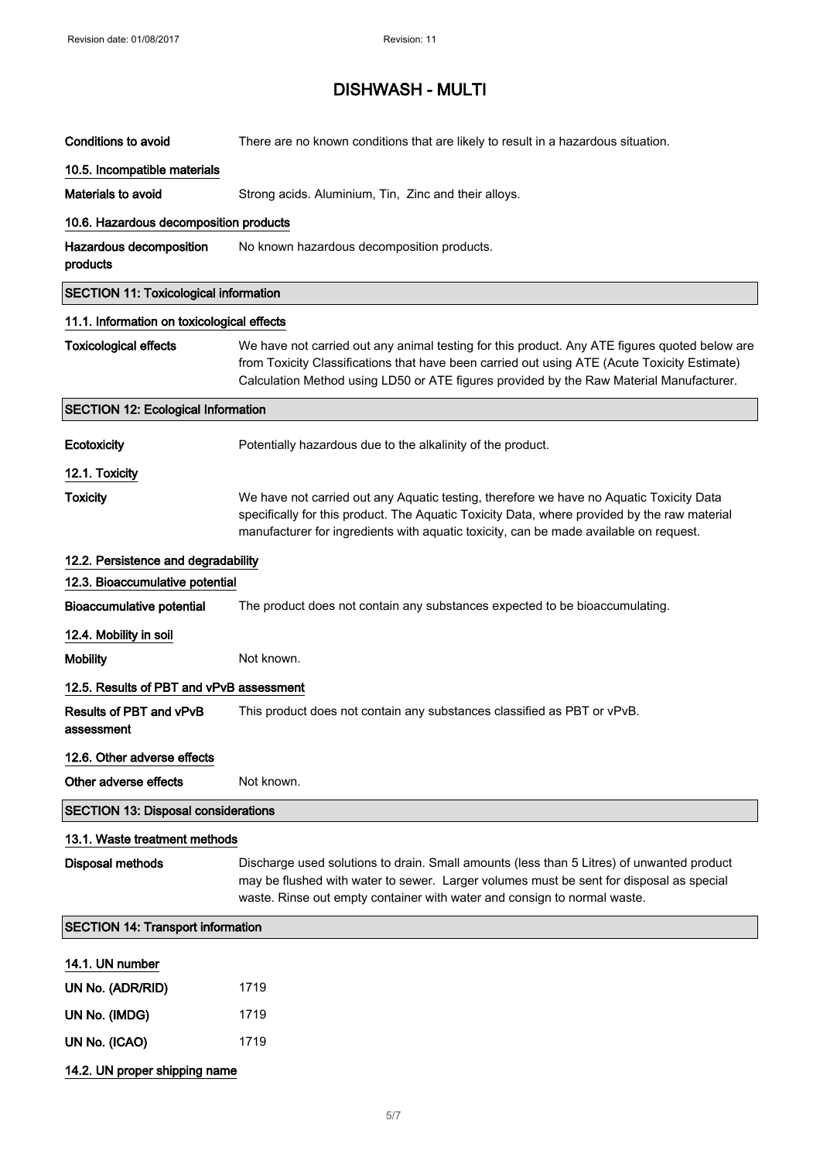| <b>Conditions to avoid</b>                   | There are no known conditions that are likely to result in a hazardous situation.                                                                                                                                                                                                        |
|----------------------------------------------|------------------------------------------------------------------------------------------------------------------------------------------------------------------------------------------------------------------------------------------------------------------------------------------|
| 10.5. Incompatible materials                 |                                                                                                                                                                                                                                                                                          |
| <b>Materials to avoid</b>                    | Strong acids. Aluminium, Tin, Zinc and their alloys.                                                                                                                                                                                                                                     |
| 10.6. Hazardous decomposition products       |                                                                                                                                                                                                                                                                                          |
| Hazardous decomposition<br>products          | No known hazardous decomposition products.                                                                                                                                                                                                                                               |
| <b>SECTION 11: Toxicological information</b> |                                                                                                                                                                                                                                                                                          |
| 11.1. Information on toxicological effects   |                                                                                                                                                                                                                                                                                          |
| <b>Toxicological effects</b>                 | We have not carried out any animal testing for this product. Any ATE figures quoted below are<br>from Toxicity Classifications that have been carried out using ATE (Acute Toxicity Estimate)<br>Calculation Method using LD50 or ATE figures provided by the Raw Material Manufacturer. |
| <b>SECTION 12: Ecological Information</b>    |                                                                                                                                                                                                                                                                                          |
| Ecotoxicity                                  | Potentially hazardous due to the alkalinity of the product.                                                                                                                                                                                                                              |
| 12.1. Toxicity                               |                                                                                                                                                                                                                                                                                          |
| <b>Toxicity</b>                              | We have not carried out any Aquatic testing, therefore we have no Aquatic Toxicity Data<br>specifically for this product. The Aquatic Toxicity Data, where provided by the raw material<br>manufacturer for ingredients with aquatic toxicity, can be made available on request.         |
| 12.2. Persistence and degradability          |                                                                                                                                                                                                                                                                                          |
| 12.3. Bioaccumulative potential              |                                                                                                                                                                                                                                                                                          |
| <b>Bioaccumulative potential</b>             | The product does not contain any substances expected to be bioaccumulating.                                                                                                                                                                                                              |
| 12.4. Mobility in soil                       |                                                                                                                                                                                                                                                                                          |
| <b>Mobility</b>                              | Not known.                                                                                                                                                                                                                                                                               |
| 12.5. Results of PBT and vPvB assessment     |                                                                                                                                                                                                                                                                                          |
| Results of PBT and vPvB<br>assessment        | This product does not contain any substances classified as PBT or vPvB.                                                                                                                                                                                                                  |
| 12.6. Other adverse effects                  |                                                                                                                                                                                                                                                                                          |
| Other adverse effects                        | Not known.                                                                                                                                                                                                                                                                               |
| <b>SECTION 13: Disposal considerations</b>   |                                                                                                                                                                                                                                                                                          |
| 13.1. Waste treatment methods                |                                                                                                                                                                                                                                                                                          |
| <b>Disposal methods</b>                      | Discharge used solutions to drain. Small amounts (less than 5 Litres) of unwanted product<br>may be flushed with water to sewer. Larger volumes must be sent for disposal as special<br>waste. Rinse out empty container with water and consign to normal waste.                         |
| <b>SECTION 14: Transport information</b>     |                                                                                                                                                                                                                                                                                          |
| 14.1. UN number                              |                                                                                                                                                                                                                                                                                          |
| UN No. (ADR/RID)                             | 1719                                                                                                                                                                                                                                                                                     |
| UN No. (IMDG)                                | 1719                                                                                                                                                                                                                                                                                     |
| UN No. (ICAO)                                | 1719                                                                                                                                                                                                                                                                                     |
| 14.2. UN proper shipping name                |                                                                                                                                                                                                                                                                                          |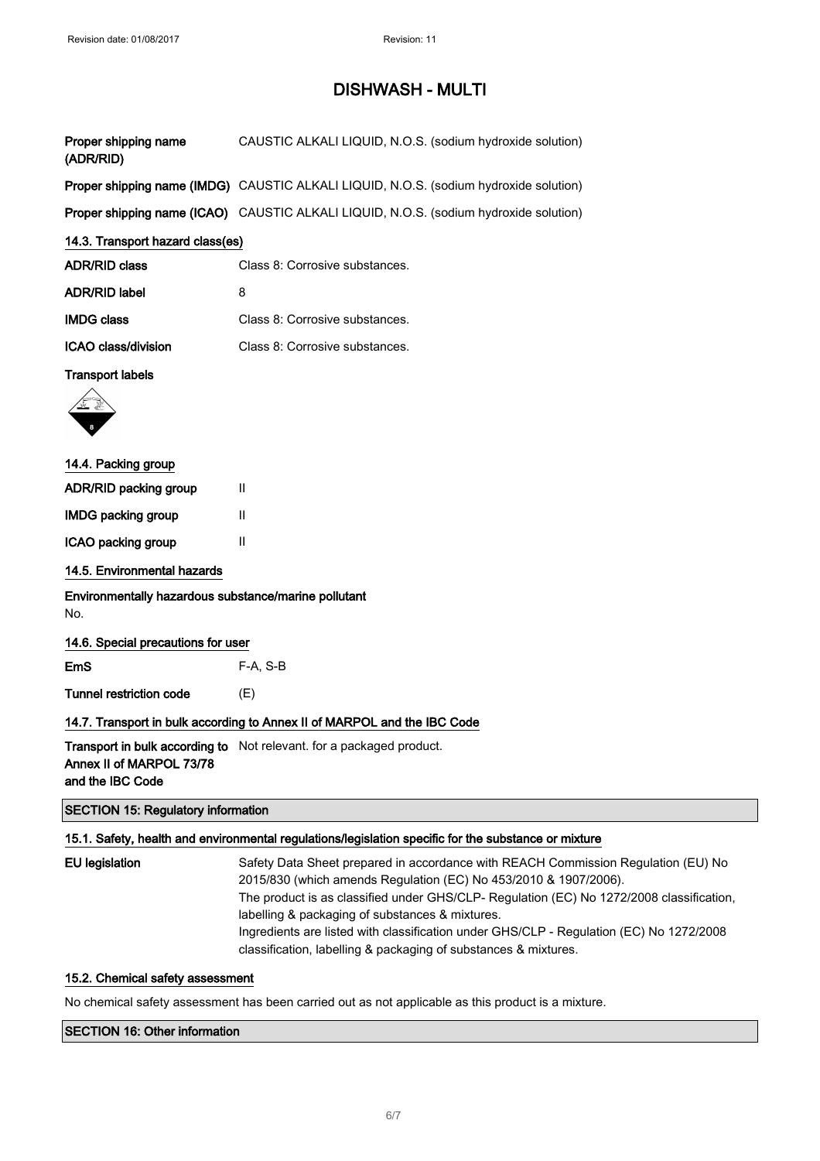| Proper shipping name<br>(ADR/RID)                           | CAUSTIC ALKALI LIQUID, N.O.S. (sodium hydroxide solution)                                            |
|-------------------------------------------------------------|------------------------------------------------------------------------------------------------------|
|                                                             | Proper shipping name (IMDG) CAUSTIC ALKALI LIQUID, N.O.S. (sodium hydroxide solution)                |
|                                                             | Proper shipping name (ICAO) CAUSTIC ALKALI LIQUID, N.O.S. (sodium hydroxide solution)                |
| 14.3. Transport hazard class(es)                            |                                                                                                      |
| <b>ADR/RID class</b>                                        | Class 8: Corrosive substances.                                                                       |
| <b>ADR/RID label</b>                                        | 8                                                                                                    |
| <b>IMDG class</b>                                           | Class 8: Corrosive substances.                                                                       |
| <b>ICAO class/division</b>                                  | Class 8: Corrosive substances.                                                                       |
| <b>Transport labels</b>                                     |                                                                                                      |
|                                                             |                                                                                                      |
| 14.4. Packing group                                         |                                                                                                      |
| ADR/RID packing group                                       | $\mathbf{H}$                                                                                         |
| IMDG packing group                                          | $\mathbf{H}$                                                                                         |
| ICAO packing group                                          | Ш                                                                                                    |
| 14.5. Environmental hazards                                 |                                                                                                      |
| Environmentally hazardous substance/marine pollutant<br>No. |                                                                                                      |
| 14.6. Special precautions for user                          |                                                                                                      |
| <b>EmS</b>                                                  | $F-A, S-B$                                                                                           |
| Tunnel restriction code                                     | (E)                                                                                                  |
|                                                             | 14.7. Transport in bulk according to Annex II of MARPOL and the IBC Code                             |
| Annex II of MARPOL 73/78<br>and the IBC Code                | Transport in bulk according to Not relevant. for a packaged product.                                 |
| <b>SECTION 15: Regulatory information</b>                   |                                                                                                      |
|                                                             | 15.1. Safety, health and environmental regulations/legislation specific for the substance or mixture |

| EU legislation | Safety Data Sheet prepared in accordance with REACH Commission Regulation (EU) No        |
|----------------|------------------------------------------------------------------------------------------|
|                | 2015/830 (which amends Regulation (EC) No 453/2010 & 1907/2006).                         |
|                | The product is as classified under GHS/CLP- Regulation (EC) No 1272/2008 classification, |
|                | labelling & packaging of substances & mixtures.                                          |
|                | Ingredients are listed with classification under GHS/CLP - Regulation (EC) No 1272/2008  |
|                | classification, labelling & packaging of substances & mixtures.                          |

### 15.2. Chemical safety assessment

No chemical safety assessment has been carried out as not applicable as this product is a mixture.

## SECTION 16: Other information